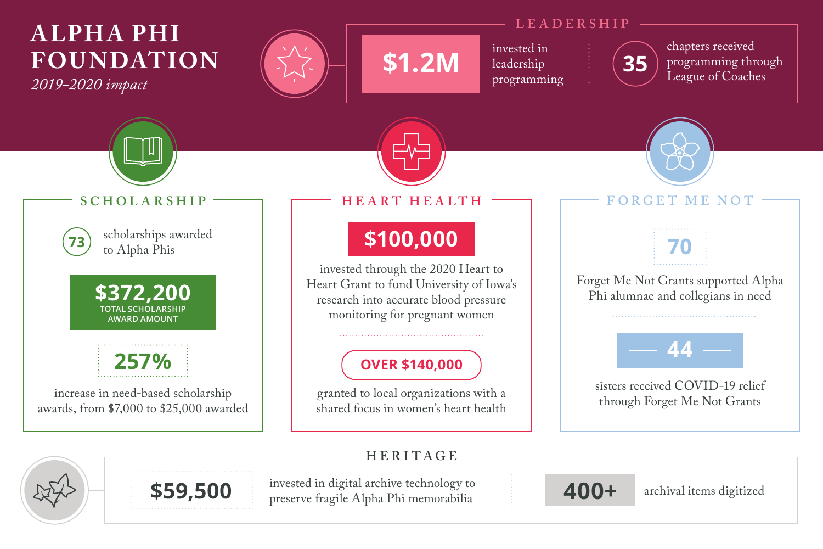# **A LPH A PHI FOU N DATION**

*2019-2020 impact*



### **LEADERSHIP**

invested in leadership programming



chapters received programming through<br>League of Coaches



### **HERITAGE**

**\$59,500 400+** archival items digitized invested in digital archive technology to preserve fragile Alpha Phi memorabilia